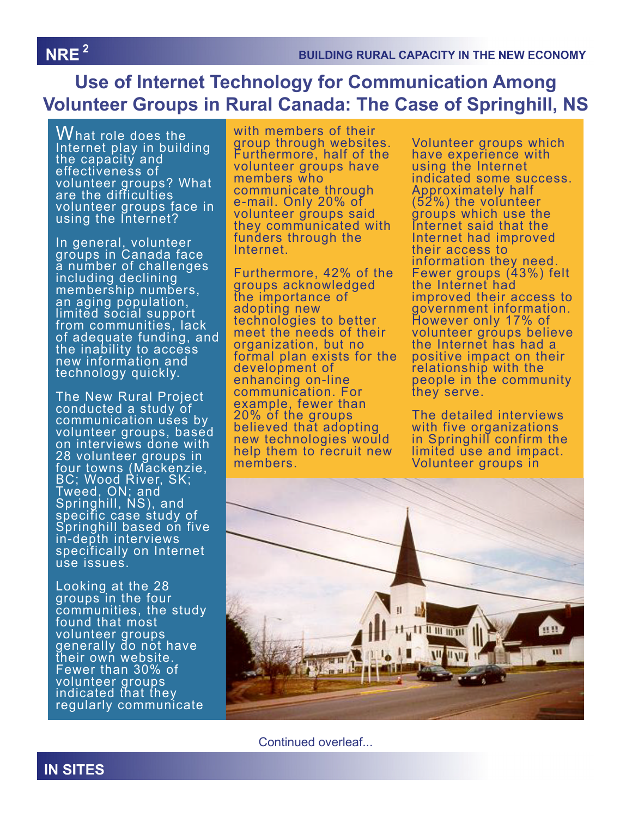## **Use of Internet Technology for Communication Among Volunteer Groups in Rural Canada: The Case of Springhill, NS**

What role does the Internet play in building the capacity and effectiveness of volunteer groups? What are the difficulties volunteer groups face in using the Internet?

In general, volunteer groups in Canada face a number of challenges including declining membership numbers, an aging population, limited social support from communities, lack of adequate funding, and the inability to access new information and technology quickly.

The New Rural Project conducted a study of communication uses by volunteer groups, based on interviews done with 28 volunteer groups in four towns (Mackenzie, BC; Wood River, SK; Tweed, ON; and Springhill, NS), and specific case study of Springhill based on five in-depth interviews specifically on Internet use issues.

Looking at the 28 groups in the four communities, the study found that most volunteer groups generally do not have their own website. Fewer than 30% of volunteer groups indicated that they regularly communicate

with members of their group through websites. Furthermore, half of the volunteer groups have members who communicate through e-mail. Only 20% of volunteer groups said they communicated with funders through the Internet.

Furthermore, 42% of the groups acknowledged the importance of adopting new technologies to better meet the needs of their organization, but no formal plan exists for the development of enhancing on-line communication. For example, fewer than 20% of the groups believed that adopting new technologies would help them to recruit new members.

Volunteer groups which have experience with using the Internet indicated some success. Approximately half (52%) the volunteer groups which use the Internet said that the Internet had improved their access to information they need. Fewer groups (43%) felt the Internet had improved their access to government information. However only 17% of volunteer groups believe the Internet has had a positive impact on their relationship with the people in the community they serve.

The detailed interviews with five organizations in Springhill confirm the limited use and impact. Volunteer groups in



Continued overleaf...

## $NRE<sup>2</sup>$

**IN SITES**